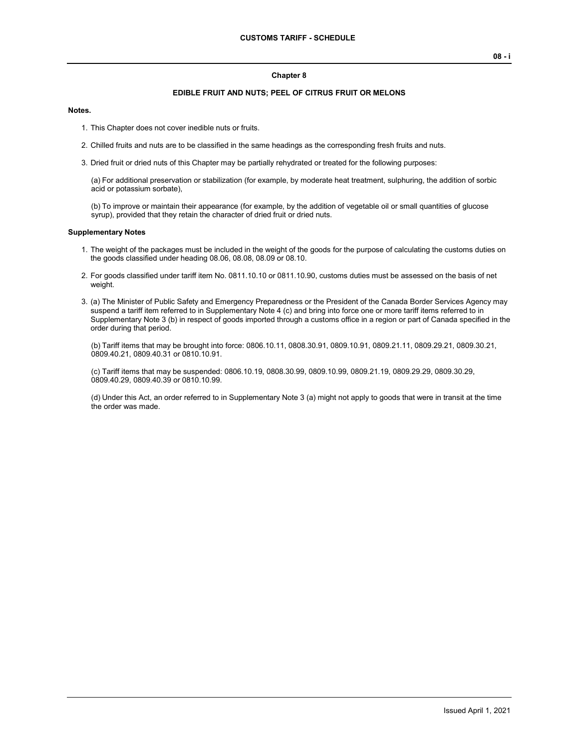#### **Chapter 8**

## **EDIBLE FRUIT AND NUTS; PEEL OF CITRUS FRUIT OR MELONS**

#### **Notes.**

- 1. This Chapter does not cover inedible nuts or fruits.
- 2. Chilled fruits and nuts are to be classified in the same headings as the corresponding fresh fruits and nuts.
- 3. Dried fruit or dried nuts of this Chapter may be partially rehydrated or treated for the following purposes:

(a) For additional preservation or stabilization (for example, by moderate heat treatment, sulphuring, the addition of sorbic acid or potassium sorbate),

(b) To improve or maintain their appearance (for example, by the addition of vegetable oil or small quantities of glucose syrup), provided that they retain the character of dried fruit or dried nuts.

#### **Supplementary Notes**

- 1. The weight of the packages must be included in the weight of the goods for the purpose of calculating the customs duties on the goods classified under heading 08.06, 08.08, 08.09 or 08.10.
- 2. For goods classified under tariff item No. 0811.10.10 or 0811.10.90, customs duties must be assessed on the basis of net weight.
- 3. (a) The Minister of Public Safety and Emergency Preparedness or the President of the Canada Border Services Agency may suspend a tariff item referred to in Supplementary Note 4 (c) and bring into force one or more tariff items referred to in Supplementary Note 3 (b) in respect of goods imported through a customs office in a region or part of Canada specified in the order during that period.

(b) Tariff items that may be brought into force: 0806.10.11, 0808.30.91, 0809.10.91, 0809.21.11, 0809.29.21, 0809.30.21, 0809.40.21, 0809.40.31 or 0810.10.91.

(c) Tariff items that may be suspended: 0806.10.19, 0808.30.99, 0809.10.99, 0809.21.19, 0809.29.29, 0809.30.29, 0809.40.29, 0809.40.39 or 0810.10.99.

(d) Under this Act, an order referred to in Supplementary Note 3 (a) might not apply to goods that were in transit at the time the order was made.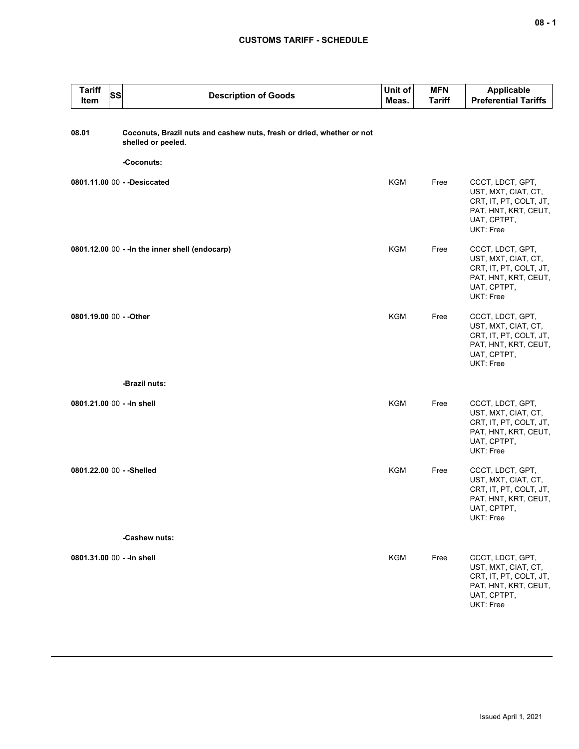## **CUSTOMS TARIFF - SCHEDULE**

| <b>Tariff</b><br>Item      | <b>SS</b> | <b>Description of Goods</b>                                                                               | Unit of<br>Meas. | <b>MFN</b><br><b>Tariff</b> | <b>Applicable</b><br><b>Preferential Tariffs</b>                                                                      |
|----------------------------|-----------|-----------------------------------------------------------------------------------------------------------|------------------|-----------------------------|-----------------------------------------------------------------------------------------------------------------------|
| 08.01                      |           | Coconuts, Brazil nuts and cashew nuts, fresh or dried, whether or not<br>shelled or peeled.<br>-Coconuts: |                  |                             |                                                                                                                       |
|                            |           | 0801.11.00 00 - - Desiccated                                                                              | KGM              | Free                        | CCCT, LDCT, GPT,<br>UST, MXT, CIAT, CT,<br>CRT, IT, PT, COLT, JT,<br>PAT, HNT, KRT, CEUT,<br>UAT, CPTPT,<br>UKT: Free |
|                            |           | 0801.12.00 00 - - In the inner shell (endocarp)                                                           | <b>KGM</b>       | Free                        | CCCT, LDCT, GPT,<br>UST, MXT, CIAT, CT,<br>CRT, IT, PT, COLT, JT,<br>PAT, HNT, KRT, CEUT,<br>UAT, CPTPT,<br>UKT: Free |
| 0801.19.00 00 - - Other    |           |                                                                                                           | KGM              | Free                        | CCCT, LDCT, GPT,<br>UST, MXT, CIAT, CT,<br>CRT, IT, PT, COLT, JT,<br>PAT, HNT, KRT, CEUT,<br>UAT, CPTPT,<br>UKT: Free |
|                            |           | -Brazil nuts:                                                                                             |                  |                             |                                                                                                                       |
| 0801.21.00 00 - - In shell |           |                                                                                                           | <b>KGM</b>       | Free                        | CCCT, LDCT, GPT,<br>UST, MXT, CIAT, CT,<br>CRT, IT, PT, COLT, JT,<br>PAT, HNT, KRT, CEUT,<br>UAT, CPTPT,<br>UKT: Free |
| 0801.22.00 00 - - Shelled  |           |                                                                                                           | <b>KGM</b>       | Free                        | CCCT, LDCT, GPT,<br>UST, MXT, CIAT, CT,<br>CRT, IT, PT, COLT, JT,<br>PAT, HNT, KRT, CEUT,<br>UAT, CPTPT,<br>UKT: Free |
|                            |           | -Cashew nuts:                                                                                             |                  |                             |                                                                                                                       |
| 0801.31.00 00 - - In shell |           |                                                                                                           | <b>KGM</b>       | Free                        | CCCT, LDCT, GPT,<br>UST, MXT, CIAT, CT,<br>CRT, IT, PT, COLT, JT,<br>PAT, HNT, KRT, CEUT,<br>UAT, CPTPT,<br>UKT: Free |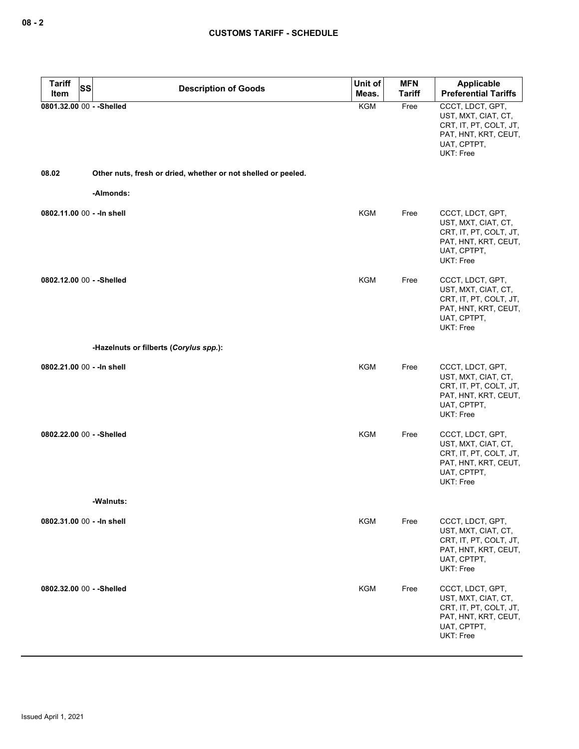| <b>Tariff</b><br>SS<br>Item | <b>Description of Goods</b>                                   | Unit of<br>Meas. | <b>MFN</b><br><b>Tariff</b> | <b>Applicable</b><br><b>Preferential Tariffs</b>                                                                             |
|-----------------------------|---------------------------------------------------------------|------------------|-----------------------------|------------------------------------------------------------------------------------------------------------------------------|
| 0801.32.00 00 - - Shelled   |                                                               | <b>KGM</b>       | Free                        | CCCT, LDCT, GPT,<br>UST, MXT, CIAT, CT,<br>CRT, IT, PT, COLT, JT,<br>PAT, HNT, KRT, CEUT,<br>UAT, CPTPT,<br><b>UKT: Free</b> |
| 08.02                       | Other nuts, fresh or dried, whether or not shelled or peeled. |                  |                             |                                                                                                                              |
|                             | -Almonds:                                                     |                  |                             |                                                                                                                              |
| 0802.11.00 00 - - In shell  |                                                               | <b>KGM</b>       | Free                        | CCCT, LDCT, GPT,<br>UST, MXT, CIAT, CT,<br>CRT, IT, PT, COLT, JT,<br>PAT, HNT, KRT, CEUT,<br>UAT, CPTPT,<br><b>UKT: Free</b> |
| 0802.12.00 00 - - Shelled   |                                                               | <b>KGM</b>       | Free                        | CCCT, LDCT, GPT,<br>UST, MXT, CIAT, CT,<br>CRT, IT, PT, COLT, JT,<br>PAT, HNT, KRT, CEUT,<br>UAT, CPTPT,<br><b>UKT: Free</b> |
|                             | -Hazelnuts or filberts (Corylus spp.):                        |                  |                             |                                                                                                                              |
| 0802.21.00 00 - - In shell  |                                                               | KGM              | Free                        | CCCT, LDCT, GPT,<br>UST, MXT, CIAT, CT,<br>CRT, IT, PT, COLT, JT,<br>PAT, HNT, KRT, CEUT,<br>UAT, CPTPT,<br>UKT: Free        |
| 0802.22.00 00 - - Shelled   |                                                               | <b>KGM</b>       | Free                        | CCCT, LDCT, GPT,<br>UST, MXT, CIAT, CT,<br>CRT, IT, PT, COLT, JT,<br>PAT, HNT, KRT, CEUT,<br>UAT, CPTPT,<br><b>UKT: Free</b> |
|                             | -Walnuts:                                                     |                  |                             |                                                                                                                              |
| 0802.31.00 00 - - In shell  |                                                               | KGM              | Free                        | CCCT, LDCT, GPT,<br>UST, MXT, CIAT, CT,<br>CRT, IT, PT, COLT, JT,<br>PAT, HNT, KRT, CEUT,<br>UAT, CPTPT,<br><b>UKT: Free</b> |
| 0802.32.00 00 - - Shelled   |                                                               | <b>KGM</b>       | Free                        | CCCT, LDCT, GPT,<br>UST, MXT, CIAT, CT,<br>CRT, IT, PT, COLT, JT,<br>PAT, HNT, KRT, CEUT,<br>UAT, CPTPT,<br>UKT: Free        |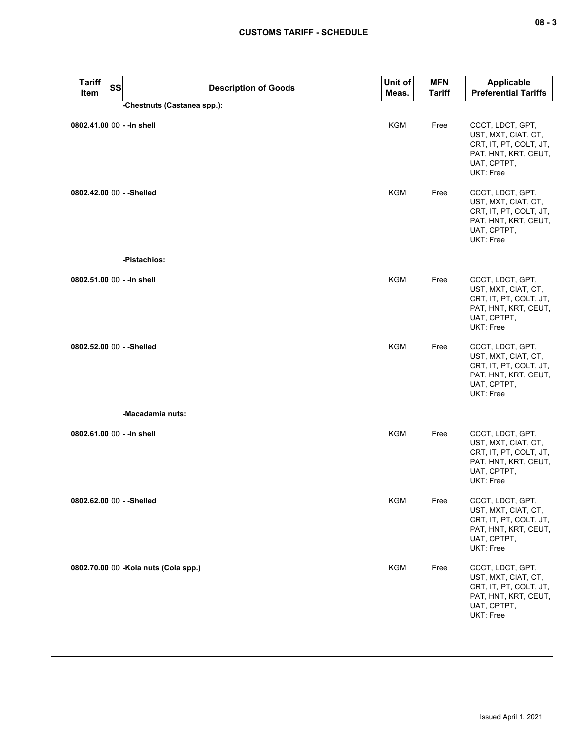| <b>Tariff</b><br><b>SS</b><br>Item | <b>Description of Goods</b>          | Unit of<br>Meas. | <b>MFN</b><br><b>Tariff</b> | Applicable<br><b>Preferential Tariffs</b>                                                                                    |
|------------------------------------|--------------------------------------|------------------|-----------------------------|------------------------------------------------------------------------------------------------------------------------------|
|                                    | -Chestnuts (Castanea spp.):          |                  |                             |                                                                                                                              |
| 0802.41.00 00 - - In shell         |                                      | <b>KGM</b>       | Free                        | CCCT, LDCT, GPT,<br>UST, MXT, CIAT, CT,<br>CRT, IT, PT, COLT, JT,<br>PAT, HNT, KRT, CEUT,<br>UAT, CPTPT,<br>UKT: Free        |
| 0802.42.00 00 - - Shelled          |                                      | KGM              | Free                        | CCCT, LDCT, GPT,<br>UST, MXT, CIAT, CT,<br>CRT, IT, PT, COLT, JT,<br>PAT, HNT, KRT, CEUT,<br>UAT, CPTPT,<br>UKT: Free        |
|                                    | -Pistachios:                         |                  |                             |                                                                                                                              |
| 0802.51.00 00 - - In shell         |                                      | <b>KGM</b>       | Free                        | CCCT, LDCT, GPT,<br>UST, MXT, CIAT, CT,<br>CRT, IT, PT, COLT, JT,<br>PAT, HNT, KRT, CEUT,<br>UAT, CPTPT,<br>UKT: Free        |
| 0802.52.00 00 - - Shelled          |                                      | <b>KGM</b>       | Free                        | CCCT, LDCT, GPT,<br>UST, MXT, CIAT, CT,<br>CRT, IT, PT, COLT, JT,<br>PAT, HNT, KRT, CEUT,<br>UAT, CPTPT,<br>UKT: Free        |
|                                    | -Macadamia nuts:                     |                  |                             |                                                                                                                              |
| 0802.61.00 00 - - In shell         |                                      | KGM              | Free                        | CCCT, LDCT, GPT,<br>UST, MXT, CIAT, CT,<br>CRT, IT, PT, COLT, JT,<br>PAT, HNT, KRT, CEUT,<br>UAT, CPTPT,<br><b>UKT: Free</b> |
| 0802.62.00 00 - - Shelled          |                                      | KGM              | Free                        | CCCT, LDCT, GPT,<br>UST, MXT, CIAT, CT,<br>CRT, IT, PT, COLT, JT,<br>PAT, HNT, KRT, CEUT,<br>UAT, CPTPT,<br>UKT: Free        |
|                                    | 0802.70.00 00 -Kola nuts (Cola spp.) | <b>KGM</b>       | Free                        | CCCT, LDCT, GPT,<br>UST, MXT, CIAT, CT,<br>CRT, IT, PT, COLT, JT,<br>PAT, HNT, KRT, CEUT,<br>UAT, CPTPT,<br>UKT: Free        |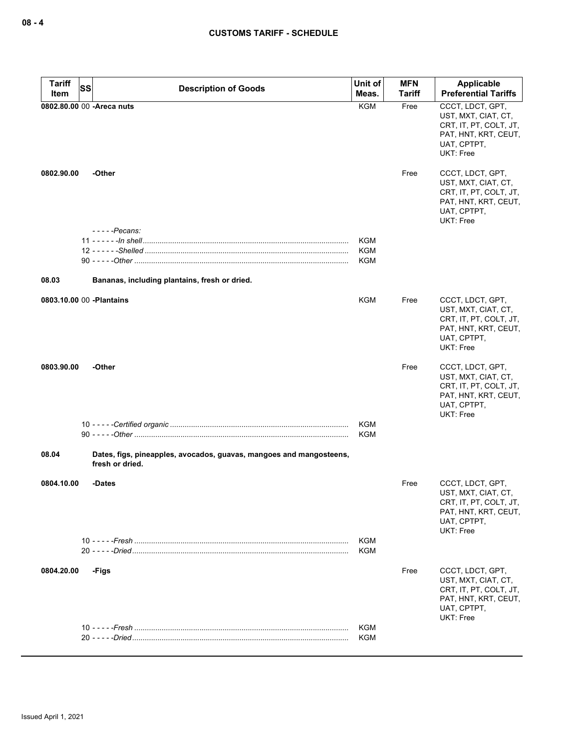| <b>Tariff</b>             | <b>SS</b> |                                                                                        | Unit of           | <b>MFN</b>    | <b>Applicable</b>                                                                                                     |
|---------------------------|-----------|----------------------------------------------------------------------------------------|-------------------|---------------|-----------------------------------------------------------------------------------------------------------------------|
| Item                      |           | <b>Description of Goods</b>                                                            | Meas.             | <b>Tariff</b> | <b>Preferential Tariffs</b>                                                                                           |
|                           |           | 0802.80.00 00 -Areca nuts                                                              | <b>KGM</b>        | Free          | CCCT, LDCT, GPT,<br>UST, MXT, CIAT, CT,<br>CRT, IT, PT, COLT, JT,<br>PAT, HNT, KRT, CEUT,<br>UAT, CPTPT,<br>UKT: Free |
| 0802.90.00                |           | -Other                                                                                 |                   | Free          | CCCT, LDCT, GPT,<br>UST, MXT, CIAT, CT,<br>CRT, IT, PT, COLT, JT,<br>PAT, HNT, KRT, CEUT,<br>UAT, CPTPT,<br>UKT: Free |
|                           |           | - - - - - Pecans:                                                                      |                   |               |                                                                                                                       |
|                           |           |                                                                                        | KGM<br><b>KGM</b> |               |                                                                                                                       |
|                           |           |                                                                                        | KGM               |               |                                                                                                                       |
|                           |           |                                                                                        |                   |               |                                                                                                                       |
| 08.03                     |           | Bananas, including plantains, fresh or dried.                                          |                   |               |                                                                                                                       |
| 0803.10.00 00 - Plantains |           |                                                                                        | KGM               | Free          | CCCT, LDCT, GPT,<br>UST, MXT, CIAT, CT,<br>CRT, IT, PT, COLT, JT,<br>PAT, HNT, KRT, CEUT,<br>UAT, CPTPT,<br>UKT: Free |
| 0803.90.00                |           | -Other                                                                                 |                   | Free          | CCCT, LDCT, GPT,<br>UST, MXT, CIAT, CT,<br>CRT, IT, PT, COLT, JT,<br>PAT, HNT, KRT, CEUT,<br>UAT, CPTPT,<br>UKT: Free |
|                           |           |                                                                                        | KGM               |               |                                                                                                                       |
|                           |           |                                                                                        | KGM               |               |                                                                                                                       |
| 08.04                     |           | Dates, figs, pineapples, avocados, guavas, mangoes and mangosteens,<br>fresh or dried. |                   |               |                                                                                                                       |
| 0804.10.00                |           | -Dates                                                                                 |                   | Free          | CCCT, LDCT, GPT,<br>UST, MXT, CIAT, CT,<br>CRT, IT, PT, COLT, JT,<br>PAT, HNT, KRT, CEUT,<br>UAT, CPTPT,<br>UKT: Free |
|                           |           |                                                                                        | KGM               |               |                                                                                                                       |
|                           |           |                                                                                        | KGM               |               |                                                                                                                       |
| 0804.20.00                |           | -Figs                                                                                  |                   | Free          | CCCT, LDCT, GPT,<br>UST, MXT, CIAT, CT,<br>CRT, IT, PT, COLT, JT,<br>PAT, HNT, KRT, CEUT,<br>UAT, CPTPT,<br>UKT: Free |
|                           |           |                                                                                        | KGM               |               |                                                                                                                       |
|                           |           |                                                                                        | KGM               |               |                                                                                                                       |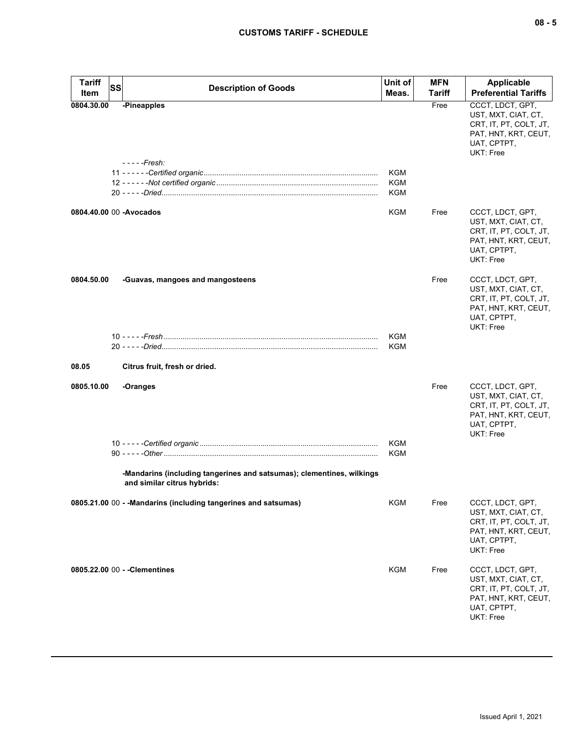| <b>Tariff</b><br><b>SS</b> | <b>Description of Goods</b>                                                                          | Unit of    | <b>MFN</b> | <b>Applicable</b>                                                                                                     |
|----------------------------|------------------------------------------------------------------------------------------------------|------------|------------|-----------------------------------------------------------------------------------------------------------------------|
| Item                       |                                                                                                      | Meas.      | Tariff     | <b>Preferential Tariffs</b>                                                                                           |
| 0804.30.00                 | -Pineapples<br>- - - - -Fresh:                                                                       |            | Free       | CCCT, LDCT, GPT,<br>UST, MXT, CIAT, CT,<br>CRT, IT, PT, COLT, JT,<br>PAT, HNT, KRT, CEUT,<br>UAT, CPTPT,<br>UKT: Free |
|                            |                                                                                                      | KGM        |            |                                                                                                                       |
|                            |                                                                                                      | KGM<br>KGM |            |                                                                                                                       |
|                            |                                                                                                      |            |            |                                                                                                                       |
| 0804.40.00 00 - Avocados   |                                                                                                      | KGM        | Free       | CCCT, LDCT, GPT,<br>UST, MXT, CIAT, CT,<br>CRT, IT, PT, COLT, JT,<br>PAT, HNT, KRT, CEUT,<br>UAT, CPTPT,<br>UKT: Free |
| 0804.50.00                 | -Guavas, mangoes and mangosteens                                                                     |            | Free       | CCCT, LDCT, GPT,<br>UST, MXT, CIAT, CT,<br>CRT, IT, PT, COLT, JT,<br>PAT, HNT, KRT, CEUT,<br>UAT, CPTPT,<br>UKT: Free |
|                            |                                                                                                      | KGM        |            |                                                                                                                       |
|                            |                                                                                                      | KGM        |            |                                                                                                                       |
| 08.05                      | Citrus fruit, fresh or dried.                                                                        |            |            |                                                                                                                       |
| 0805.10.00                 | -Oranges                                                                                             |            | Free       | CCCT, LDCT, GPT,<br>UST, MXT, CIAT, CT,<br>CRT, IT, PT, COLT, JT,<br>PAT, HNT, KRT, CEUT,<br>UAT, CPTPT,<br>UKT: Free |
|                            |                                                                                                      | <b>KGM</b> |            |                                                                                                                       |
|                            |                                                                                                      | <b>KGM</b> |            |                                                                                                                       |
|                            | -Mandarins (including tangerines and satsumas); clementines, wilkings<br>and similar citrus hybrids: |            |            |                                                                                                                       |
|                            | 0805.21.00 00 - -Mandarins (including tangerines and satsumas)                                       | KGM        | Free       | CCCT, LDCT, GPT,<br>UST, MXT, CIAT, CT,<br>CRT, IT, PT, COLT, JT,<br>PAT, HNT, KRT, CEUT,<br>UAT, CPTPT,<br>UKT: Free |
|                            | 0805.22.00 00 - - Clementines                                                                        | <b>KGM</b> | Free       | CCCT, LDCT, GPT,<br>UST, MXT, CIAT, CT,<br>CRT, IT, PT, COLT, JT,<br>PAT, HNT, KRT, CEUT,<br>UAT, CPTPT,<br>UKT: Free |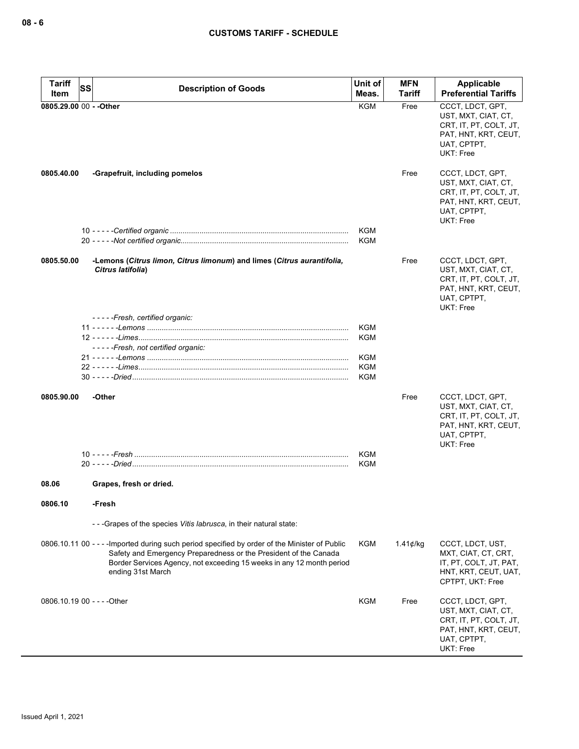| <b>Tariff</b>           | SS<br><b>Description of Goods</b>                                                                                                                                                                                                                                | Unit of           | <b>MFN</b>         | Applicable                                                                                                                   |
|-------------------------|------------------------------------------------------------------------------------------------------------------------------------------------------------------------------------------------------------------------------------------------------------------|-------------------|--------------------|------------------------------------------------------------------------------------------------------------------------------|
| Item                    |                                                                                                                                                                                                                                                                  | Meas.             | Tariff             | <b>Preferential Tariffs</b>                                                                                                  |
| 0805.29.00 00 - - Other |                                                                                                                                                                                                                                                                  | <b>KGM</b>        | Free               | CCCT, LDCT, GPT,<br>UST, MXT, CIAT, CT,<br>CRT, IT, PT, COLT, JT,<br>PAT, HNT, KRT, CEUT,<br>UAT, CPTPT,<br><b>UKT: Free</b> |
| 0805.40.00              | -Grapefruit, including pomelos                                                                                                                                                                                                                                   |                   | Free               | CCCT, LDCT, GPT,<br>UST, MXT, CIAT, CT,<br>CRT, IT, PT, COLT, JT,<br>PAT, HNT, KRT, CEUT,<br>UAT, CPTPT,<br><b>UKT: Free</b> |
|                         |                                                                                                                                                                                                                                                                  | KGM<br><b>KGM</b> |                    |                                                                                                                              |
|                         |                                                                                                                                                                                                                                                                  |                   |                    |                                                                                                                              |
| 0805.50.00              | -Lemons (Citrus limon, Citrus limonum) and limes (Citrus aurantifolia,<br>Citrus latifolia)                                                                                                                                                                      |                   | Free               | CCCT, LDCT, GPT,<br>UST, MXT, CIAT, CT,<br>CRT, IT, PT, COLT, JT,<br>PAT, HNT, KRT, CEUT,<br>UAT, CPTPT,<br><b>UKT: Free</b> |
|                         | -----Fresh, certified organic:                                                                                                                                                                                                                                   |                   |                    |                                                                                                                              |
|                         |                                                                                                                                                                                                                                                                  | KGM               |                    |                                                                                                                              |
|                         | -----Fresh, not certified organic:                                                                                                                                                                                                                               | KGM               |                    |                                                                                                                              |
|                         |                                                                                                                                                                                                                                                                  | KGM               |                    |                                                                                                                              |
|                         |                                                                                                                                                                                                                                                                  | <b>KGM</b>        |                    |                                                                                                                              |
|                         |                                                                                                                                                                                                                                                                  | KGM               |                    |                                                                                                                              |
| 0805.90.00              | -Other                                                                                                                                                                                                                                                           |                   | Free               | CCCT, LDCT, GPT,<br>UST, MXT, CIAT, CT,<br>CRT, IT, PT, COLT, JT,<br>PAT, HNT, KRT, CEUT,<br>UAT, CPTPT,<br>UKT: Free        |
|                         |                                                                                                                                                                                                                                                                  | <b>KGM</b>        |                    |                                                                                                                              |
|                         |                                                                                                                                                                                                                                                                  | KGM               |                    |                                                                                                                              |
| 08.06                   | Grapes, fresh or dried.                                                                                                                                                                                                                                          |                   |                    |                                                                                                                              |
| 0806.10                 | -Fresh                                                                                                                                                                                                                                                           |                   |                    |                                                                                                                              |
|                         | --- Grapes of the species Vitis labrusca, in their natural state:                                                                                                                                                                                                |                   |                    |                                                                                                                              |
|                         | 0806.10.11 00 - - - - Imported during such period specified by order of the Minister of Public<br>Safety and Emergency Preparedness or the President of the Canada<br>Border Services Agency, not exceeding 15 weeks in any 12 month period<br>ending 31st March | KGM               | 1.41 $\not\in$ /kg | CCCT, LDCT, UST,<br>MXT, CIAT, CT, CRT,<br>IT, PT, COLT, JT, PAT,<br>HNT, KRT, CEUT, UAT,<br>CPTPT, UKT: Free                |
|                         | 0806.10.19 00 - - - - Other                                                                                                                                                                                                                                      | KGM               | Free               | CCCT, LDCT, GPT,<br>UST, MXT, CIAT, CT,<br>CRT, IT, PT, COLT, JT,<br>PAT, HNT, KRT, CEUT,<br>UAT, CPTPT,<br>UKT: Free        |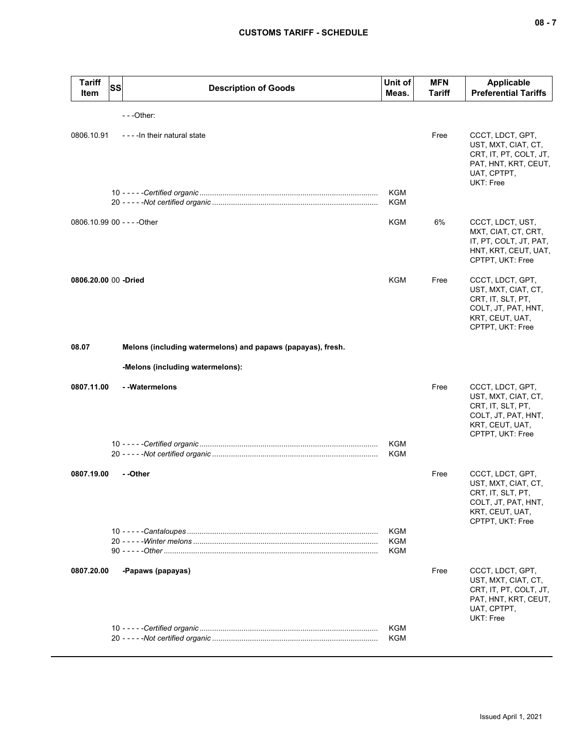| <b>Tariff</b><br>Item       | SS | <b>Description of Goods</b>                                 | Unit of<br>Meas.  | <b>MFN</b><br>Tariff | <b>Applicable</b><br><b>Preferential Tariffs</b>                                                                           |
|-----------------------------|----|-------------------------------------------------------------|-------------------|----------------------|----------------------------------------------------------------------------------------------------------------------------|
|                             |    | $- -$ Other:                                                |                   |                      |                                                                                                                            |
| 0806.10.91                  |    | - - - - In their natural state                              |                   | Free                 | CCCT, LDCT, GPT,<br>UST, MXT, CIAT, CT,<br>CRT, IT, PT, COLT, JT,<br>PAT, HNT, KRT, CEUT,<br>UAT, CPTPT,<br>UKT: Free      |
|                             |    |                                                             | KGM<br>KGM        |                      |                                                                                                                            |
| 0806.10.99 00 - - - - Other |    |                                                             | KGM               | 6%                   | CCCT, LDCT, UST,<br>MXT, CIAT, CT, CRT,<br>IT, PT, COLT, JT, PAT,<br>HNT, KRT, CEUT, UAT,<br>CPTPT, UKT: Free              |
| 0806.20.00 00 -Dried        |    |                                                             | KGM               | Free                 | CCCT, LDCT, GPT,<br>UST, MXT, CIAT, CT,<br>CRT, IT, SLT, PT,<br>COLT, JT, PAT, HNT,<br>KRT, CEUT, UAT,<br>CPTPT, UKT: Free |
| 08.07                       |    | Melons (including watermelons) and papaws (papayas), fresh. |                   |                      |                                                                                                                            |
|                             |    | -Melons (including watermelons):                            |                   |                      |                                                                                                                            |
| 0807.11.00                  |    | - - Watermelons                                             |                   | Free                 | CCCT, LDCT, GPT,<br>UST, MXT, CIAT, CT,<br>CRT, IT, SLT, PT,<br>COLT, JT, PAT, HNT,<br>KRT, CEUT, UAT,<br>CPTPT, UKT: Free |
|                             |    |                                                             | <b>KGM</b><br>KGM |                      |                                                                                                                            |
| 0807.19.00                  |    | - -Other                                                    |                   | Free                 | CCCT, LDCT, GPT,<br>UST, MXT, CIAT, CT,<br>CRT, IT, SLT, PT,<br>COLT, JT, PAT, HNT,<br>KRT, CEUT, UAT,<br>CPTPT, UKT: Free |
|                             |    |                                                             | KGM<br>KGM<br>KGM |                      |                                                                                                                            |
| 0807.20.00                  |    | -Papaws (papayas)                                           |                   | Free                 | CCCT, LDCT, GPT,<br>UST, MXT, CIAT, CT,<br>CRT, IT, PT, COLT, JT,<br>PAT, HNT, KRT, CEUT,<br>UAT, CPTPT,<br>UKT: Free      |
|                             |    |                                                             | KGM<br>KGM        |                      |                                                                                                                            |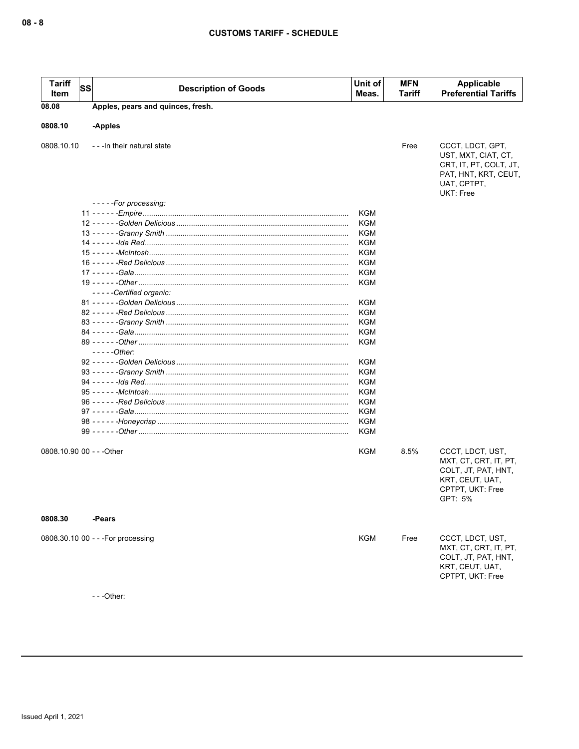| <b>Tariff</b><br>Item     | SS | <b>Description of Goods</b>                              | Unit of<br>Meas. | <b>MFN</b><br><b>Tariff</b> | <b>Applicable</b><br><b>Preferential Tariffs</b>                                                                             |
|---------------------------|----|----------------------------------------------------------|------------------|-----------------------------|------------------------------------------------------------------------------------------------------------------------------|
| 08.08                     |    | Apples, pears and quinces, fresh.                        |                  |                             |                                                                                                                              |
|                           |    |                                                          |                  |                             |                                                                                                                              |
| 0808.10                   |    | -Apples                                                  |                  |                             |                                                                                                                              |
| 0808.10.10                |    | --- In their natural state                               |                  | Free                        | CCCT, LDCT, GPT,<br>UST, MXT, CIAT, CT,<br>CRT, IT, PT, COLT, JT,<br>PAT, HNT, KRT, CEUT,<br>UAT, CPTPT,<br><b>UKT: Free</b> |
|                           |    | -----For processing:                                     |                  |                             |                                                                                                                              |
|                           |    |                                                          | KGM              |                             |                                                                                                                              |
|                           |    |                                                          | KGM              |                             |                                                                                                                              |
|                           |    |                                                          | KGM              |                             |                                                                                                                              |
|                           |    |                                                          | KGM              |                             |                                                                                                                              |
|                           |    |                                                          | KGM              |                             |                                                                                                                              |
|                           |    |                                                          | KGM              |                             |                                                                                                                              |
|                           |    |                                                          | <b>KGM</b>       |                             |                                                                                                                              |
|                           |    | -----Certified organic:                                  | KGM              |                             |                                                                                                                              |
|                           |    |                                                          | <b>KGM</b>       |                             |                                                                                                                              |
|                           |    |                                                          | <b>KGM</b>       |                             |                                                                                                                              |
|                           |    |                                                          | KGM              |                             |                                                                                                                              |
|                           |    |                                                          | KGM              |                             |                                                                                                                              |
|                           |    |                                                          | KGM              |                             |                                                                                                                              |
|                           |    | $---Other:$                                              |                  |                             |                                                                                                                              |
|                           |    |                                                          | KGM              |                             |                                                                                                                              |
|                           |    |                                                          | KGM              |                             |                                                                                                                              |
|                           |    |                                                          | KGM              |                             |                                                                                                                              |
|                           |    |                                                          | KGM              |                             |                                                                                                                              |
|                           |    |                                                          | KGM              |                             |                                                                                                                              |
|                           |    |                                                          |                  |                             |                                                                                                                              |
|                           |    |                                                          | KGM              |                             |                                                                                                                              |
|                           |    |                                                          | <b>KGM</b>       |                             |                                                                                                                              |
|                           |    | 99 - - - - - <i>-Other ……………………………………………………………………………</i> | <b>KGM</b>       |                             |                                                                                                                              |
| 0808.10.90 00 - - - Other |    |                                                          | KGM              | 8.5%                        | CCCT, LDCT, UST,<br>MXT, CT, CRT, IT, PT,<br>COLT, JT, PAT, HNT,<br>KRT, CEUT, UAT,<br>CPTPT, UKT: Free<br>GPT: 5%           |
| 0808.30                   |    | -Pears                                                   |                  |                             |                                                                                                                              |
|                           |    | 0808.30.10 00 - - - For processing                       | KGM              | Free                        | CCCT, LDCT, UST,<br>MXT, CT, CRT, IT, PT,<br>COLT, JT, PAT, HNT,<br>KRT, CEUT, UAT,<br>CPTPT, UKT: Free                      |
|                           |    | $--$ Other:                                              |                  |                             |                                                                                                                              |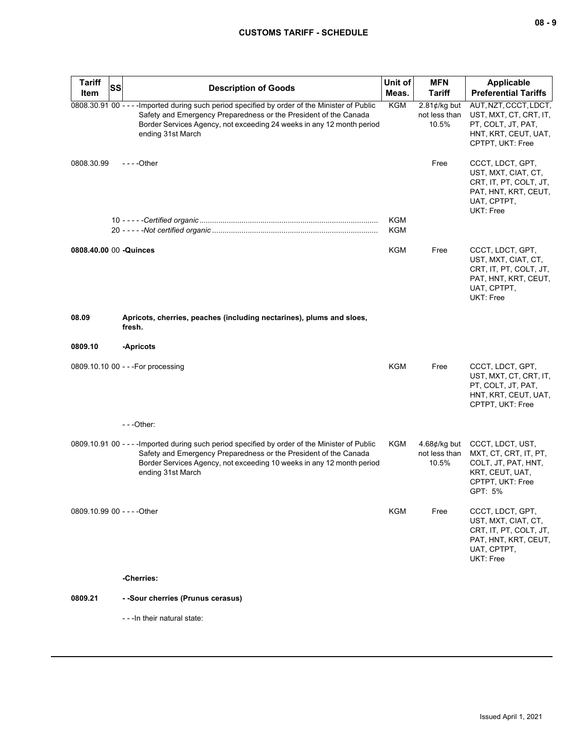| <b>Tariff</b><br>Item       | SS | <b>Description of Goods</b>                                                                                                                                                                                                                                      | Unit of<br>Meas. | <b>MFN</b><br>Tariff                             | <b>Applicable</b><br><b>Preferential Tariffs</b>                                                                             |
|-----------------------------|----|------------------------------------------------------------------------------------------------------------------------------------------------------------------------------------------------------------------------------------------------------------------|------------------|--------------------------------------------------|------------------------------------------------------------------------------------------------------------------------------|
|                             |    | 0808.30.91 00 - - - - Imported during such period specified by order of the Minister of Public<br>Safety and Emergency Preparedness or the President of the Canada<br>Border Services Agency, not exceeding 24 weeks in any 12 month period<br>ending 31st March | KGM              | 2.81 $\not\in$ /kg but<br>not less than<br>10.5% | AUT, NZT, CCCT, LDCT,<br>UST, MXT, CT, CRT, IT,<br>PT, COLT, JT, PAT,<br>HNT, KRT, CEUT, UAT,<br>CPTPT, UKT: Free            |
| 0808.30.99                  |    | - - - - Other                                                                                                                                                                                                                                                    |                  | Free                                             | CCCT, LDCT, GPT,<br>UST, MXT, CIAT, CT,<br>CRT, IT, PT, COLT, JT,<br>PAT, HNT, KRT, CEUT,<br>UAT, CPTPT,<br>UKT: Free        |
|                             |    |                                                                                                                                                                                                                                                                  | KGM<br>KGM       |                                                  |                                                                                                                              |
| 0808.40.00 00 -Quinces      |    |                                                                                                                                                                                                                                                                  | KGM              | Free                                             | CCCT, LDCT, GPT,<br>UST, MXT, CIAT, CT,<br>CRT, IT, PT, COLT, JT,<br>PAT, HNT, KRT, CEUT,<br>UAT, CPTPT,<br>UKT: Free        |
| 08.09                       |    | Apricots, cherries, peaches (including nectarines), plums and sloes,<br>fresh.                                                                                                                                                                                   |                  |                                                  |                                                                                                                              |
| 0809.10                     |    | -Apricots                                                                                                                                                                                                                                                        |                  |                                                  |                                                                                                                              |
|                             |    | 0809.10.10 00 - - - For processing                                                                                                                                                                                                                               | <b>KGM</b>       | Free                                             | CCCT, LDCT, GPT,<br>UST, MXT, CT, CRT, IT,<br>PT, COLT, JT, PAT,<br>HNT, KRT, CEUT, UAT,<br>CPTPT, UKT: Free                 |
|                             |    | ---Other:                                                                                                                                                                                                                                                        |                  |                                                  |                                                                                                                              |
|                             |    | 0809.10.91 00 - - - - Imported during such period specified by order of the Minister of Public<br>Safety and Emergency Preparedness or the President of the Canada<br>Border Services Agency, not exceeding 10 weeks in any 12 month period<br>ending 31st March | KGM              | 4.68 $\not\in$ /kg but<br>not less than<br>10.5% | CCCT, LDCT, UST,<br>MXT, CT, CRT, IT, PT,<br>COLT, JT, PAT, HNT,<br>KRT, CEUT, UAT,<br>CPTPT, UKT: Free<br>GPT: 5%           |
| 0809.10.99 00 - - - - Other |    |                                                                                                                                                                                                                                                                  | KGM              | Free                                             | CCCT, LDCT, GPT,<br>UST, MXT, CIAT, CT,<br>CRT, IT, PT, COLT, JT,<br>PAT, HNT, KRT, CEUT,<br>UAT, CPTPT,<br><b>UKT: Free</b> |
|                             |    | -Cherries:                                                                                                                                                                                                                                                       |                  |                                                  |                                                                                                                              |
| 0809.21                     |    | - -Sour cherries (Prunus cerasus)                                                                                                                                                                                                                                |                  |                                                  |                                                                                                                              |
|                             |    | - - - In their natural state:                                                                                                                                                                                                                                    |                  |                                                  |                                                                                                                              |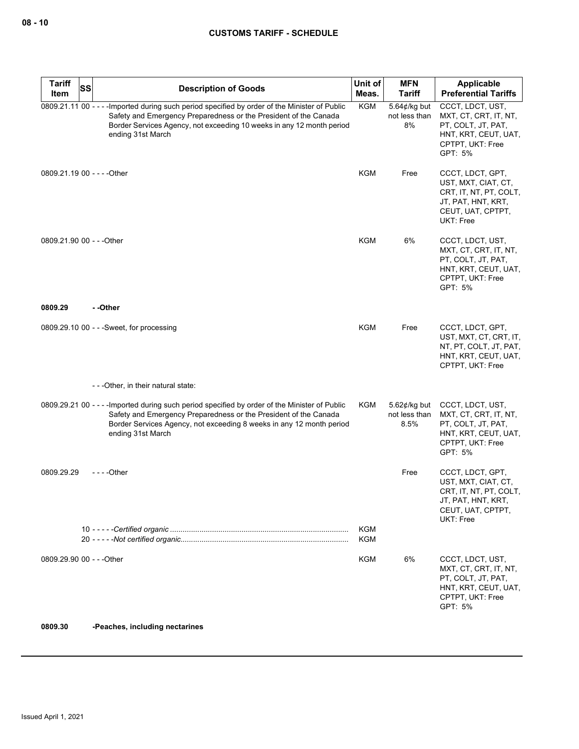| <b>Tariff</b>             | <b>SS</b><br><b>Description of Goods</b>                                                                                                                                                                                                                         | Unit of           | <b>MFN</b>                                             | Applicable                                                                                                                |
|---------------------------|------------------------------------------------------------------------------------------------------------------------------------------------------------------------------------------------------------------------------------------------------------------|-------------------|--------------------------------------------------------|---------------------------------------------------------------------------------------------------------------------------|
| Item                      |                                                                                                                                                                                                                                                                  | Meas.             | <b>Tariff</b>                                          | <b>Preferential Tariffs</b>                                                                                               |
|                           | 0809.21.11 00 - - - - Imported during such period specified by order of the Minister of Public<br>Safety and Emergency Preparedness or the President of the Canada<br>Border Services Agency, not exceeding 10 weeks in any 12 month period<br>ending 31st March | <b>KGM</b>        | 5.64 $¢$ /kg but<br>not less than<br>8%                | CCCT, LDCT, UST,<br>MXT, CT, CRT, IT, NT,<br>PT, COLT, JT, PAT,<br>HNT, KRT, CEUT, UAT,<br>CPTPT, UKT: Free<br>GPT: 5%    |
|                           | 0809.21.19 00 - - - - Other                                                                                                                                                                                                                                      | <b>KGM</b>        | Free                                                   | CCCT, LDCT, GPT,<br>UST, MXT, CIAT, CT,<br>CRT, IT, NT, PT, COLT,<br>JT, PAT, HNT, KRT,<br>CEUT, UAT, CPTPT,<br>UKT: Free |
| 0809.21.90 00 - - - Other |                                                                                                                                                                                                                                                                  | KGM               | 6%                                                     | CCCT, LDCT, UST,<br>MXT, CT, CRT, IT, NT,<br>PT, COLT, JT, PAT,<br>HNT, KRT, CEUT, UAT,<br>CPTPT, UKT: Free<br>GPT: 5%    |
| 0809.29                   | - -Other                                                                                                                                                                                                                                                         |                   |                                                        |                                                                                                                           |
|                           | 0809.29.10 00 - - - Sweet, for processing                                                                                                                                                                                                                        | KGM               | Free                                                   | CCCT, LDCT, GPT,<br>UST, MXT, CT, CRT, IT,<br>NT, PT, COLT, JT, PAT,<br>HNT, KRT, CEUT, UAT,<br>CPTPT, UKT: Free          |
|                           | ---Other, in their natural state:                                                                                                                                                                                                                                |                   |                                                        |                                                                                                                           |
|                           | 0809.29.21 00 - - - - Imported during such period specified by order of the Minister of Public<br>Safety and Emergency Preparedness or the President of the Canada<br>Border Services Agency, not exceeding 8 weeks in any 12 month period<br>ending 31st March  | KGM               | 5.62 $\not\!\epsilon$ /kg but<br>not less than<br>8.5% | CCCT, LDCT, UST,<br>MXT, CT, CRT, IT, NT,<br>PT, COLT, JT, PAT,<br>HNT, KRT, CEUT, UAT,<br>CPTPT, UKT: Free<br>GPT: 5%    |
| 0809.29.29                | - - - -Other                                                                                                                                                                                                                                                     |                   | Free                                                   | CCCT, LDCT, GPT,<br>UST, MXT, CIAT, CT,<br>CRT, IT, NT, PT, COLT,<br>JT, PAT, HNT, KRT,<br>CEUT, UAT, CPTPT,<br>UKT: Free |
|                           |                                                                                                                                                                                                                                                                  | KGM<br><b>KGM</b> |                                                        |                                                                                                                           |
| 0809.29.90 00 - - - Other |                                                                                                                                                                                                                                                                  | <b>KGM</b>        | 6%                                                     | CCCT, LDCT, UST,<br>MXT, CT, CRT, IT, NT,<br>PT, COLT, JT, PAT,<br>HNT, KRT, CEUT, UAT,<br>CPTPT, UKT: Free<br>GPT: 5%    |

### **0809.30 -Peaches, including nectarines**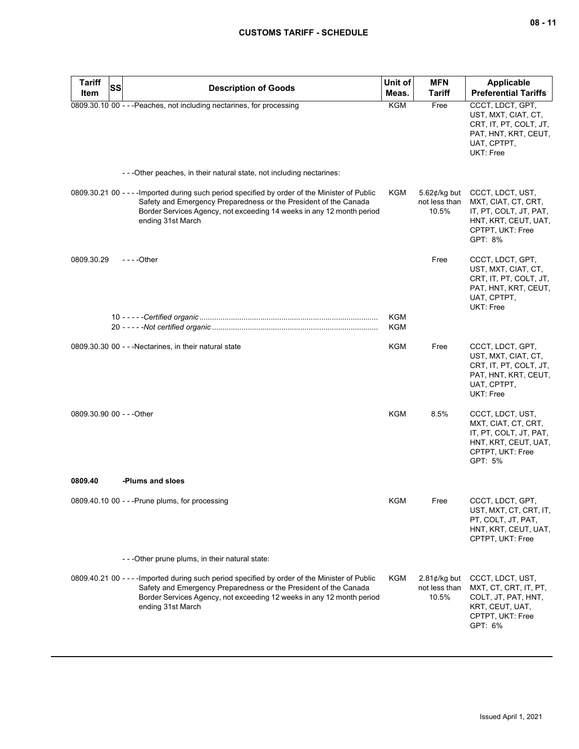| <b>Tariff</b><br><b>SS</b> | <b>Description of Goods</b>                                                                                                                                                                                                                                      | Unit of           | <b>MFN</b>                                       | <b>Applicable</b>                                                                                                        |
|----------------------------|------------------------------------------------------------------------------------------------------------------------------------------------------------------------------------------------------------------------------------------------------------------|-------------------|--------------------------------------------------|--------------------------------------------------------------------------------------------------------------------------|
| Item                       |                                                                                                                                                                                                                                                                  | Meas.             | <b>Tariff</b>                                    | <b>Preferential Tariffs</b>                                                                                              |
|                            | 0809.30.10 00 - - - Peaches, not including nectarines, for processing                                                                                                                                                                                            | <b>KGM</b>        | Free                                             | CCCT, LDCT, GPT,<br>UST, MXT, CIAT, CT,<br>CRT, IT, PT, COLT, JT,<br>PAT, HNT, KRT, CEUT,<br>UAT, CPTPT,<br>UKT: Free    |
|                            | ---Other peaches, in their natural state, not including nectarines:                                                                                                                                                                                              |                   |                                                  |                                                                                                                          |
|                            | 0809.30.21 00 - - - - Imported during such period specified by order of the Minister of Public<br>Safety and Emergency Preparedness or the President of the Canada<br>Border Services Agency, not exceeding 14 weeks in any 12 month period<br>ending 31st March | KGM               | 5.62 $\phi$ /kg but<br>not less than<br>10.5%    | CCCT, LDCT, UST,<br>MXT, CIAT, CT, CRT,<br>IT, PT, COLT, JT, PAT,<br>HNT, KRT, CEUT, UAT,<br>CPTPT, UKT: Free<br>GPT: 8% |
| 0809.30.29                 | $--$ Other                                                                                                                                                                                                                                                       |                   | Free                                             | CCCT, LDCT, GPT,<br>UST, MXT, CIAT, CT,<br>CRT, IT, PT, COLT, JT,<br>PAT, HNT, KRT, CEUT,<br>UAT, CPTPT,<br>UKT: Free    |
|                            |                                                                                                                                                                                                                                                                  | KGM<br><b>KGM</b> |                                                  |                                                                                                                          |
|                            | 0809.30.30 00 - - - Nectarines, in their natural state                                                                                                                                                                                                           | KGM               | Free                                             | CCCT, LDCT, GPT,<br>UST, MXT, CIAT, CT,<br>CRT, IT, PT, COLT, JT,<br>PAT, HNT, KRT, CEUT,<br>UAT, CPTPT,<br>UKT: Free    |
| 0809.30.90 00 - - - Other  |                                                                                                                                                                                                                                                                  | <b>KGM</b>        | 8.5%                                             | CCCT, LDCT, UST,<br>MXT, CIAT, CT, CRT,<br>IT, PT, COLT, JT, PAT,<br>HNT, KRT, CEUT, UAT,<br>CPTPT, UKT: Free<br>GPT: 5% |
| 0809.40                    | -Plums and sloes                                                                                                                                                                                                                                                 |                   |                                                  |                                                                                                                          |
|                            | 0809.40.10 00 - - - Prune plums, for processing                                                                                                                                                                                                                  | KGM               | Free                                             | CCCT, LDCT, GPT,<br>UST, MXT, CT, CRT, IT,<br>PT, COLT, JT, PAT,<br>HNT, KRT, CEUT, UAT,<br>CPTPT, UKT: Free             |
|                            | - - - Other prune plums, in their natural state:                                                                                                                                                                                                                 |                   |                                                  |                                                                                                                          |
|                            | 0809.40.21 00 - - - - Imported during such period specified by order of the Minister of Public<br>Safety and Emergency Preparedness or the President of the Canada<br>Border Services Agency, not exceeding 12 weeks in any 12 month period<br>ending 31st March | KGM               | 2.81 $\not\in$ /kg but<br>not less than<br>10.5% | CCCT, LDCT, UST,<br>MXT, CT, CRT, IT, PT,<br>COLT, JT, PAT, HNT,<br>KRT, CEUT, UAT,<br>CPTPT, UKT: Free<br>GPT: 6%       |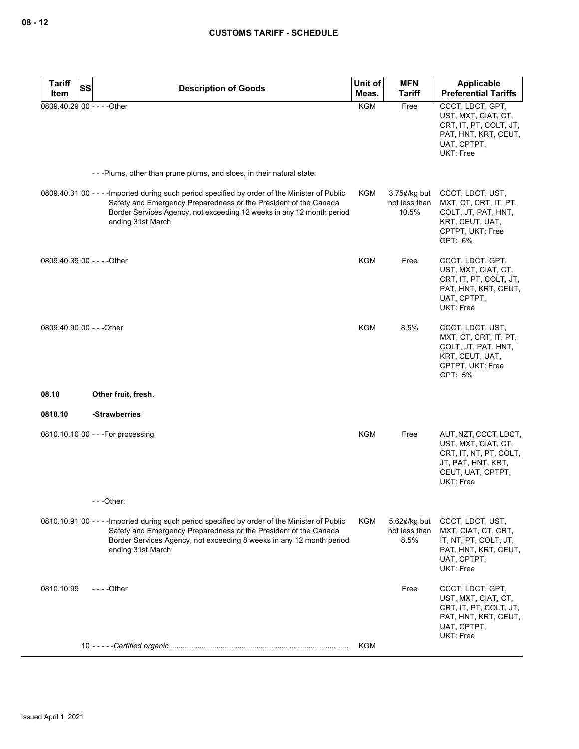| <b>Tariff</b><br>SS                 | <b>Description of Goods</b>                                                                                                                                                                                                                                      | Unit of<br>Meas. | <b>MFN</b><br><b>Tariff</b>               | Applicable<br><b>Preferential Tariffs</b>                                                                                             |
|-------------------------------------|------------------------------------------------------------------------------------------------------------------------------------------------------------------------------------------------------------------------------------------------------------------|------------------|-------------------------------------------|---------------------------------------------------------------------------------------------------------------------------------------|
| Item<br>0809.40.29 00 - - - - Other |                                                                                                                                                                                                                                                                  | <b>KGM</b>       | Free                                      | CCCT, LDCT, GPT,<br>UST, MXT, CIAT, CT,<br>CRT, IT, PT, COLT, JT,<br>PAT, HNT, KRT, CEUT,<br>UAT, CPTPT,<br>UKT: Free                 |
|                                     | ---Plums, other than prune plums, and sloes, in their natural state:                                                                                                                                                                                             |                  |                                           |                                                                                                                                       |
|                                     | 0809.40.31 00 - - - - Imported during such period specified by order of the Minister of Public<br>Safety and Emergency Preparedness or the President of the Canada<br>Border Services Agency, not exceeding 12 weeks in any 12 month period<br>ending 31st March | KGM              | $3.75$ ¢/kg but<br>not less than<br>10.5% | CCCT, LDCT, UST,<br>MXT, CT, CRT, IT, PT,<br>COLT, JT, PAT, HNT,<br>KRT, CEUT, UAT,<br>CPTPT, UKT: Free<br>GPT: 6%                    |
| 0809.40.39 00 - - - - Other         |                                                                                                                                                                                                                                                                  | KGM              | Free                                      | CCCT, LDCT, GPT,<br>UST, MXT, CIAT, CT,<br>CRT, IT, PT, COLT, JT,<br>PAT, HNT, KRT, CEUT,<br>UAT, CPTPT,<br>UKT: Free                 |
| 0809.40.90 00 - - - Other           |                                                                                                                                                                                                                                                                  | <b>KGM</b>       | 8.5%                                      | CCCT, LDCT, UST,<br>MXT, CT, CRT, IT, PT,<br>COLT, JT, PAT, HNT,<br>KRT, CEUT, UAT,<br>CPTPT, UKT: Free<br>GPT: 5%                    |
| 08.10                               | Other fruit, fresh.                                                                                                                                                                                                                                              |                  |                                           |                                                                                                                                       |
| 0810.10                             | -Strawberries                                                                                                                                                                                                                                                    |                  |                                           |                                                                                                                                       |
|                                     | 0810.10.10 00 - - - For processing                                                                                                                                                                                                                               | KGM              | Free                                      | AUT, NZT, CCCT, LDCT,<br>UST, MXT, CIAT, CT,<br>CRT, IT, NT, PT, COLT,<br>JT, PAT, HNT, KRT,<br>CEUT, UAT, CPTPT,<br><b>UKT: Free</b> |
|                                     | $- -$ Other:                                                                                                                                                                                                                                                     |                  |                                           |                                                                                                                                       |
|                                     | 0810.10.91 00 - - - - Imported during such period specified by order of the Minister of Public<br>Safety and Emergency Preparedness or the President of the Canada<br>Border Services Agency, not exceeding 8 weeks in any 12 month period<br>ending 31st March  | KGM              | $5.62$ ¢/kg but<br>not less than<br>8.5%  | CCCT, LDCT, UST,<br>MXT, CIAT, CT, CRT,<br>IT, NT, PT, COLT, JT,<br>PAT, HNT, KRT, CEUT,<br>UAT, CPTPT,<br>UKT: Free                  |
| 0810.10.99                          | $--$ - Other                                                                                                                                                                                                                                                     |                  | Free                                      | CCCT, LDCT, GPT,<br>UST, MXT, CIAT, CT,<br>CRT, IT, PT, COLT, JT,<br>PAT, HNT, KRT, CEUT,<br>UAT, CPTPT,<br>UKT: Free                 |
|                                     |                                                                                                                                                                                                                                                                  | KGM              |                                           |                                                                                                                                       |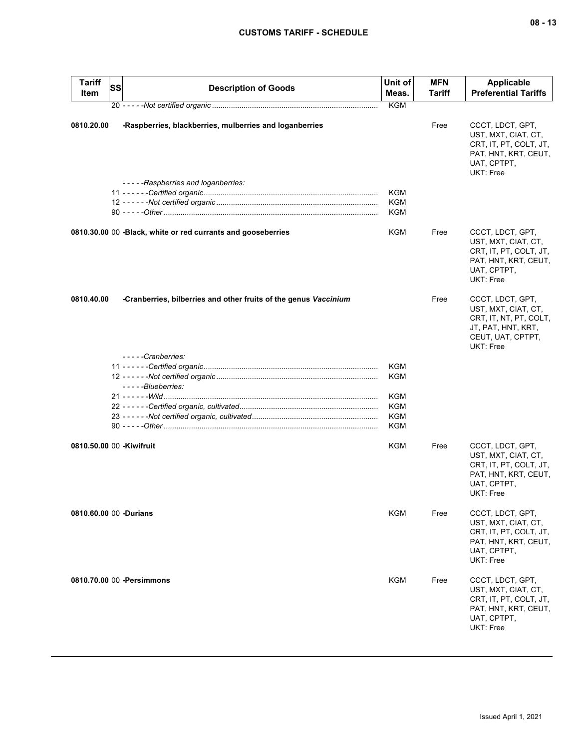# **CUSTOMS TARIFF - SCHEDULE**

| <b>Tariff</b><br>Item | <b>SS</b><br><b>Description of Goods</b>                         | Unit of<br>Meas. | <b>MFN</b><br><b>Tariff</b> | Applicable<br><b>Preferential Tariffs</b>                                                                                 |
|-----------------------|------------------------------------------------------------------|------------------|-----------------------------|---------------------------------------------------------------------------------------------------------------------------|
|                       |                                                                  | <b>KGM</b>       |                             |                                                                                                                           |
| 0810.20.00            | -Raspberries, blackberries, mulberries and loganberries          |                  | Free                        | CCCT, LDCT, GPT,<br>UST, MXT, CIAT, CT,<br>CRT, IT, PT, COLT, JT,<br>PAT, HNT, KRT, CEUT,<br>UAT, CPTPT,<br>UKT: Free     |
|                       | -----Raspberries and loganberries:                               |                  |                             |                                                                                                                           |
|                       |                                                                  | KGM              |                             |                                                                                                                           |
|                       |                                                                  | KGM              |                             |                                                                                                                           |
|                       |                                                                  | KGM              |                             |                                                                                                                           |
|                       | 0810.30.00 00 - Black, white or red currants and gooseberries    | KGM              | Free                        | CCCT, LDCT, GPT,<br>UST, MXT, CIAT, CT,<br>CRT, IT, PT, COLT, JT,<br>PAT, HNT, KRT, CEUT,<br>UAT, CPTPT,<br>UKT: Free     |
| 0810.40.00            | -Cranberries, bilberries and other fruits of the genus Vaccinium |                  | Free                        | CCCT, LDCT, GPT,<br>UST, MXT, CIAT, CT,<br>CRT, IT, NT, PT, COLT,<br>JT, PAT, HNT, KRT,<br>CEUT, UAT, CPTPT,<br>UKT: Free |
|                       | -----Cranberries:                                                |                  |                             |                                                                                                                           |
|                       |                                                                  | KGM              |                             |                                                                                                                           |
|                       |                                                                  | <b>KGM</b>       |                             |                                                                                                                           |
|                       | - - - - - Blueberries:                                           |                  |                             |                                                                                                                           |
|                       |                                                                  | KGM              |                             |                                                                                                                           |
|                       |                                                                  | <b>KGM</b>       |                             |                                                                                                                           |
|                       |                                                                  | KGM              |                             |                                                                                                                           |
|                       |                                                                  | KGM              |                             |                                                                                                                           |
|                       | 0810.50.00 00 - Kiwifruit                                        | <b>KGM</b>       | Free                        | CCCT, LDCT, GPT,<br>UST, MXT, CIAT, CT,<br>CRT, IT, PT, COLT, JT,<br>PAT, HNT, KRT, CEUT,<br>UAT, CPTPT,<br>UKT: Free     |
|                       | 0810.60.00 00 -Durians                                           | KGM              | Free                        | CCCT, LDCT, GPT,<br>UST, MXT, CIAT, CT,<br>CRT, IT, PT, COLT, JT,<br>PAT, HNT, KRT, CEUT,<br>UAT, CPTPT,<br>UKT: Free     |
|                       | 0810.70.00 00 -Persimmons                                        | KGM              | Free                        | CCCT, LDCT, GPT,<br>UST, MXT, CIAT, CT,<br>CRT, IT, PT, COLT, JT,<br>PAT, HNT, KRT, CEUT,<br>UAT, CPTPT,<br>UKT: Free     |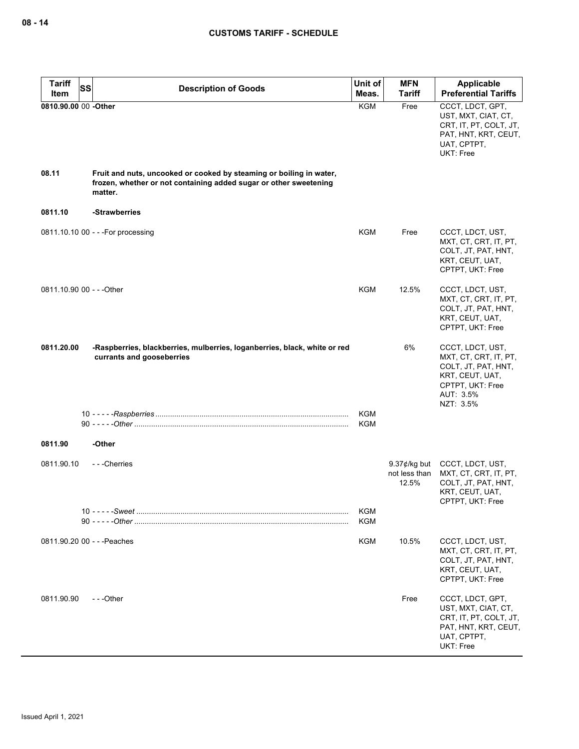| <b>Tariff</b><br><b>SS</b>    | <b>Description of Goods</b>                                                                            | Unit of                  | <b>MFN</b>                                | Applicable                                                                                                                        |
|-------------------------------|--------------------------------------------------------------------------------------------------------|--------------------------|-------------------------------------------|-----------------------------------------------------------------------------------------------------------------------------------|
| Item                          |                                                                                                        | Meas.                    | <b>Tariff</b>                             | <b>Preferential Tariffs</b>                                                                                                       |
| 0810.90.00 00 -Other<br>08.11 | Fruit and nuts, uncooked or cooked by steaming or boiling in water,                                    | <b>KGM</b>               | Free                                      | CCCT, LDCT, GPT,<br>UST, MXT, CIAT, CT,<br>CRT, IT, PT, COLT, JT,<br>PAT, HNT, KRT, CEUT,<br>UAT, CPTPT,<br>UKT: Free             |
|                               | frozen, whether or not containing added sugar or other sweetening<br>matter.                           |                          |                                           |                                                                                                                                   |
| 0811.10                       | -Strawberries                                                                                          |                          |                                           |                                                                                                                                   |
|                               | 0811.10.10 00 - - - For processing                                                                     | KGM                      | Free                                      | CCCT, LDCT, UST,<br>MXT, CT, CRT, IT, PT,<br>COLT, JT, PAT, HNT,<br>KRT, CEUT, UAT,<br>CPTPT, UKT: Free                           |
| 0811.10.90 00 - - - Other     |                                                                                                        | KGM                      | 12.5%                                     | CCCT, LDCT, UST,<br>MXT, CT, CRT, IT, PT,<br>COLT, JT, PAT, HNT,<br>KRT, CEUT, UAT,<br>CPTPT, UKT: Free                           |
| 0811.20.00                    | -Raspberries, blackberries, mulberries, loganberries, black, white or red<br>currants and gooseberries |                          | 6%                                        | CCCT, LDCT, UST,<br>MXT, CT, CRT, IT, PT,<br>COLT, JT, PAT, HNT,<br>KRT, CEUT, UAT,<br>CPTPT, UKT: Free<br>AUT: 3.5%<br>NZT: 3.5% |
|                               |                                                                                                        | KGM                      |                                           |                                                                                                                                   |
|                               |                                                                                                        | KGM                      |                                           |                                                                                                                                   |
| 0811.90                       | -Other                                                                                                 |                          |                                           |                                                                                                                                   |
| 0811.90.10                    | - - - Cherries                                                                                         |                          | $9.37$ ¢/kg but<br>not less than<br>12.5% | CCCT, LDCT, UST,<br>MXT, CT, CRT, IT, PT,<br>COLT, JT, PAT, HNT,<br>KRT, CEUT, UAT,<br>CPTPT, UKT: Free                           |
|                               |                                                                                                        | <b>KGM</b><br><b>KGM</b> |                                           |                                                                                                                                   |
|                               |                                                                                                        |                          |                                           |                                                                                                                                   |
| 0811.90.20 00 - - - Peaches   |                                                                                                        | <b>KGM</b>               | 10.5%                                     | CCCT, LDCT, UST,<br>MXT, CT, CRT, IT, PT,<br>COLT, JT, PAT, HNT,<br>KRT, CEUT, UAT,<br>CPTPT, UKT: Free                           |
| 0811.90.90                    | ---Other                                                                                               |                          | Free                                      | CCCT, LDCT, GPT,<br>UST, MXT, CIAT, CT,<br>CRT, IT, PT, COLT, JT,<br>PAT, HNT, KRT, CEUT,<br>UAT, CPTPT,<br>UKT: Free             |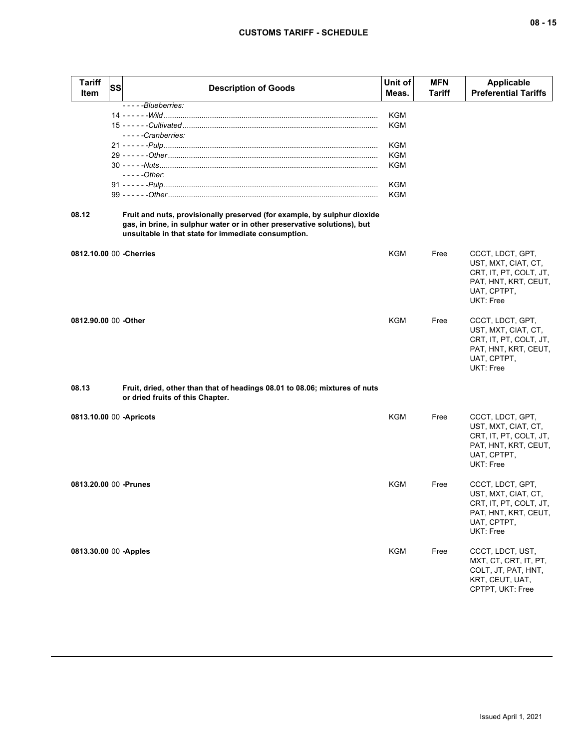| <b>Tariff</b><br>Item    | <b>SS</b> | <b>Description of Goods</b>                                                                                                                                                                                 | Unit of<br>Meas. | <b>MFN</b><br><b>Tariff</b> | Applicable<br><b>Preferential Tariffs</b>                                                                             |
|--------------------------|-----------|-------------------------------------------------------------------------------------------------------------------------------------------------------------------------------------------------------------|------------------|-----------------------------|-----------------------------------------------------------------------------------------------------------------------|
|                          |           | $---B$ lueberries:                                                                                                                                                                                          |                  |                             |                                                                                                                       |
|                          |           |                                                                                                                                                                                                             | KGM              |                             |                                                                                                                       |
|                          |           |                                                                                                                                                                                                             | KGM              |                             |                                                                                                                       |
|                          |           | -----Cranberries:                                                                                                                                                                                           |                  |                             |                                                                                                                       |
|                          |           |                                                                                                                                                                                                             | KGM              |                             |                                                                                                                       |
|                          |           |                                                                                                                                                                                                             | KGM              |                             |                                                                                                                       |
|                          |           | $---Other:$                                                                                                                                                                                                 | KGM              |                             |                                                                                                                       |
|                          |           |                                                                                                                                                                                                             | KGM              |                             |                                                                                                                       |
|                          |           |                                                                                                                                                                                                             | <b>KGM</b>       |                             |                                                                                                                       |
|                          |           |                                                                                                                                                                                                             |                  |                             |                                                                                                                       |
| 08.12                    |           | Fruit and nuts, provisionally preserved (for example, by sulphur dioxide<br>gas, in brine, in sulphur water or in other preservative solutions), but<br>unsuitable in that state for immediate consumption. |                  |                             |                                                                                                                       |
|                          |           | 0812.10.00 00 - Cherries                                                                                                                                                                                    | KGM              | Free                        | CCCT, LDCT, GPT,<br>UST, MXT, CIAT, CT,<br>CRT, IT, PT, COLT, JT,<br>PAT, HNT, KRT, CEUT,<br>UAT, CPTPT,<br>UKT: Free |
| 0812.90.00 00 -Other     |           |                                                                                                                                                                                                             | KGM              | Free                        | CCCT, LDCT, GPT,<br>UST, MXT, CIAT, CT,<br>CRT, IT, PT, COLT, JT,<br>PAT, HNT, KRT, CEUT,<br>UAT, CPTPT,<br>UKT: Free |
| 08.13                    |           | Fruit, dried, other than that of headings 08.01 to 08.06; mixtures of nuts<br>or dried fruits of this Chapter.                                                                                              |                  |                             |                                                                                                                       |
| 0813.10.00 00 - Apricots |           |                                                                                                                                                                                                             | KGM              | Free                        | CCCT, LDCT, GPT,<br>UST, MXT, CIAT, CT,<br>CRT, IT, PT, COLT, JT,<br>PAT, HNT, KRT, CEUT,<br>UAT, CPTPT,<br>UKT: Free |
| 0813.20.00 00 - Prunes   |           |                                                                                                                                                                                                             | KGM              | Free                        | CCCT, LDCT, GPT,<br>UST, MXT, CIAT, CT,<br>CRT, IT, PT, COLT, JT,<br>PAT, HNT, KRT, CEUT,<br>UAT, CPTPT,<br>UKT: Free |
| 0813.30.00 00 - Apples   |           |                                                                                                                                                                                                             | <b>KGM</b>       | Free                        | CCCT, LDCT, UST,<br>MXT, CT, CRT, IT, PT,<br>COLT, JT, PAT, HNT,<br>KRT, CEUT, UAT,<br>CPTPT, UKT: Free               |